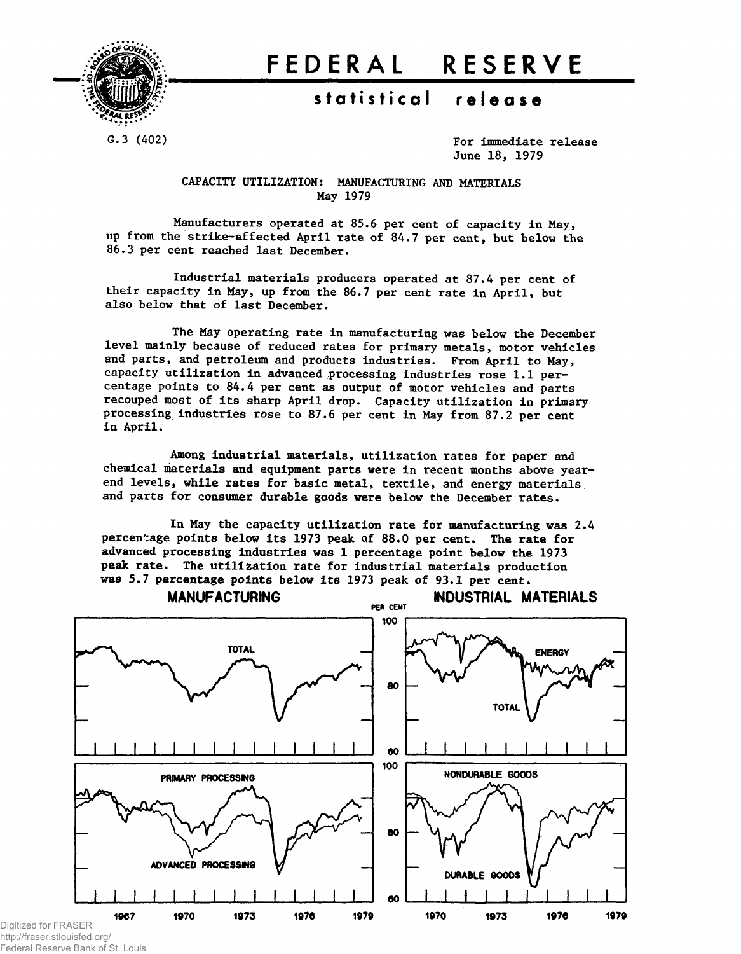

# **FEDERA L RESERV E**

## **statistica l releas e**

G.3 (402) Solution of the Contract of the Contract of the Contract of the Contract of the Contract of the Contract of the Contract of the Contract of the Contract of the Contract of the Contract of the Contract of the Cont June 18, 1979

> CAPACITY UTILIZATION: MANUFACTURING AND MATERIALS May 1979

Manufacturers operated at 85.6 per cent of capacity in May, up from the strike-affected April rate of 84.7 per cent, but below the 86.3 per cent reached last December.

Industrial materials producers operated at 87,4 per cent of their capacity in May, up from the 86.7 per cent rate in April, but also below that of last December.

The May operating rate in manufacturing was below the December level mainly because of reduced rates for primary metals, motor vehicles and parts, and petroleum and products industries. From April to May, capacity utilization in advanced processing industries rose 1.1 percentage points to 84.4 per cent as output of motor vehicles and parts recouped most of its sharp April drop. Capacity utilization in primary processing industries rose to 87.6 per cent in May from 87.2 per cent in April,

Among industrial materials, utilization rates for paper and chemical materials and equipment parts were in recent months above yearend levels, while rates for basic metal, textile, and energy materials and parts for consumer durable goods were below the December rates.

In May the capacity utilization rate for manufacturing was 2.4 percentage points below its 1973 peak of 88.0 per cent. The rate for advanced processing industries was 1 percentage point below the 1973 peak rate. The utilization rate for industrial materials production was 5.7 percentage points below its 1973 peak of 93.1 per cent.



http://fraser.stlouisfed.org/ Federal Reserve Bank of St. Louis